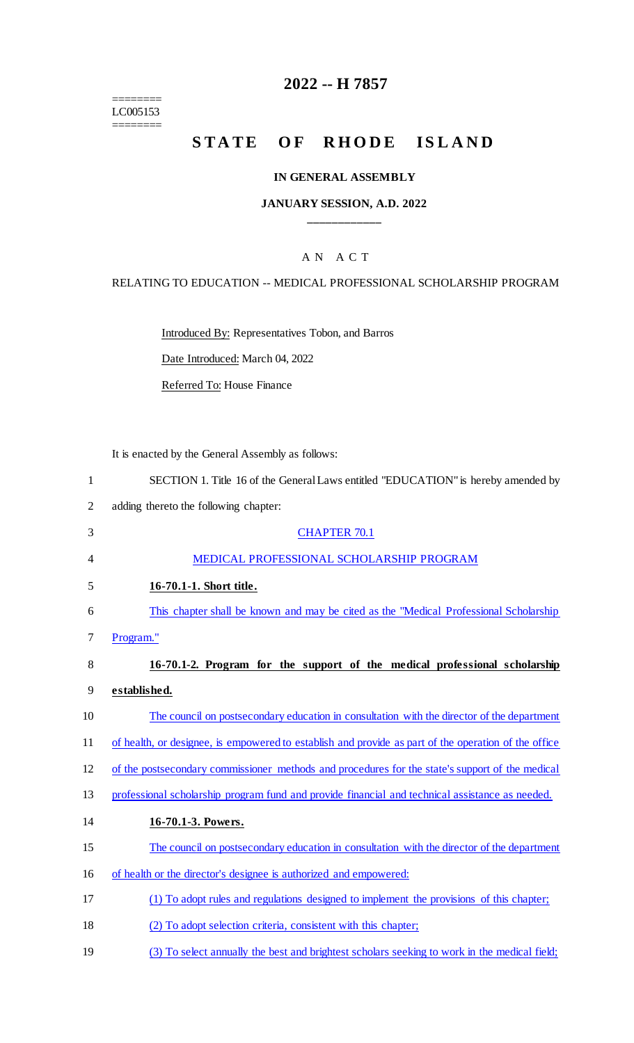======== LC005153 ========

# **2022 -- H 7857**

# **STATE OF RHODE ISLAND**

## **IN GENERAL ASSEMBLY**

# **JANUARY SESSION, A.D. 2022 \_\_\_\_\_\_\_\_\_\_\_\_**

# A N A C T

## RELATING TO EDUCATION -- MEDICAL PROFESSIONAL SCHOLARSHIP PROGRAM

Introduced By: Representatives Tobon, and Barros

Date Introduced: March 04, 2022

Referred To: House Finance

It is enacted by the General Assembly as follows:

2 adding thereto the following chapter:

| 3  | <b>CHAPTER 70.1</b>                                                                                  |
|----|------------------------------------------------------------------------------------------------------|
| 4  | MEDICAL PROFESSIONAL SCHOLARSHIP PROGRAM                                                             |
| 5  | 16-70.1-1. Short title.                                                                              |
| 6  | This chapter shall be known and may be cited as the "Medical Professional Scholarship"               |
| 7  | Program."                                                                                            |
| 8  | 16-70.1-2. Program for the support of the medical professional scholarship                           |
| 9  | established.                                                                                         |
| 10 | The council on postsecondary education in consultation with the director of the department           |
| 11 | of health, or designee, is empowered to establish and provide as part of the operation of the office |
| 12 | of the postsecondary commissioner methods and procedures for the state's support of the medical      |
| 13 | professional scholarship program fund and provide financial and technical assistance as needed.      |
| 14 | 16-70.1-3. Powers.                                                                                   |
| 15 | The council on postsecondary education in consultation with the director of the department           |
| 16 | of health or the director's designee is authorized and empowered:                                    |
| 17 | (1) To adopt rules and regulations designed to implement the provisions of this chapter;             |
| 18 | To adopt selection criteria, consistent with this chapter;                                           |
|    |                                                                                                      |

19 (3) To select annually the best and brightest scholars seeking to work in the medical field;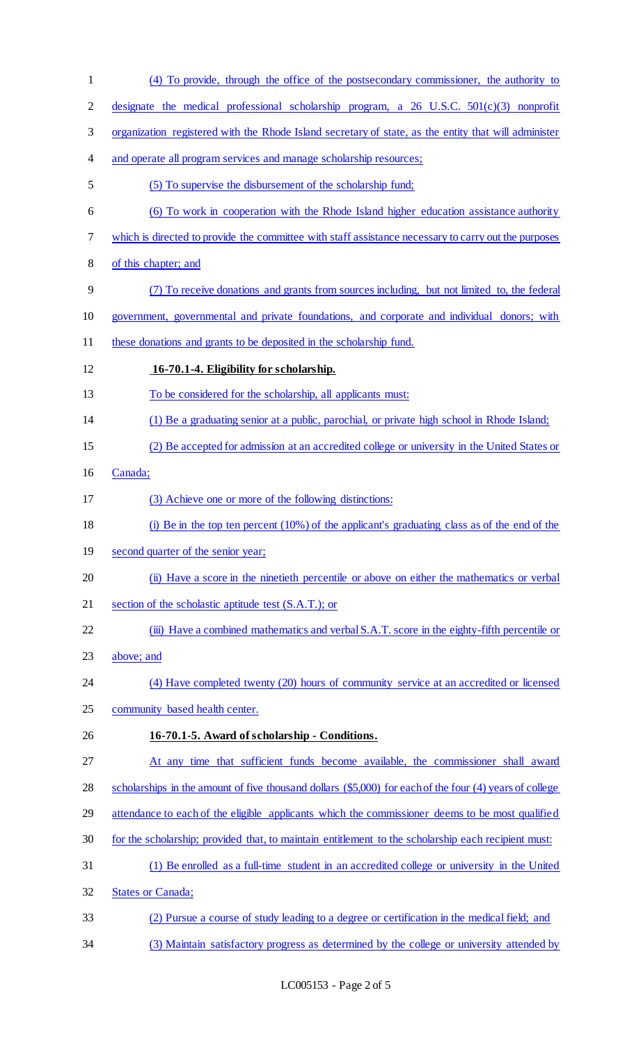(4) To provide, through the office of the postsecondary commissioner, the authority to designate the medical professional scholarship program, a 26 U.S.C. 501(c)(3) nonprofit organization registered with the Rhode Island secretary of state, as the entity that will administer and operate all program services and manage scholarship resources; (5) To supervise the disbursement of the scholarship fund; (6) To work in cooperation with the Rhode Island higher education assistance authority which is directed to provide the committee with staff assistance necessary to carry out the purposes of this chapter; and (7) To receive donations and grants from sources including, but not limited to, the federal government, governmental and private foundations, and corporate and individual donors; with 11 these donations and grants to be deposited in the scholarship fund. **16-70.1-4. Eligibility for scholarship.** To be considered for the scholarship, all applicants must: (1) Be a graduating senior at a public, parochial, or private high school in Rhode Island; (2) Be accepted for admission at an accredited college or university in the United States or Canada; (3) Achieve one or more of the following distinctions: (i) Be in the top ten percent (10%) of the applicant's graduating class as of the end of the second quarter of the senior year; (ii) Have a score in the ninetieth percentile or above on either the mathematics or verbal 21 section of the scholastic aptitude test (S.A.T.); or 22 (iii) Have a combined mathematics and verbal S.A.T. score in the eighty-fifth percentile or above; and (4) Have completed twenty (20) hours of community service at an accredited or licensed community based health center. **16-70.1-5. Award of scholarship - Conditions.** At any time that sufficient funds become available, the commissioner shall award scholarships in the amount of five thousand dollars (\$5,000) for each of the four (4) years of college 29 attendance to each of the eligible applicants which the commissioner deems to be most qualified for the scholarship; provided that, to maintain entitlement to the scholarship each recipient must: (1) Be enrolled as a full-time student in an accredited college or university in the United States or Canada; (2) Pursue a course of study leading to a degree or certification in the medical field; and (3) Maintain satisfactory progress as determined by the college or university attended by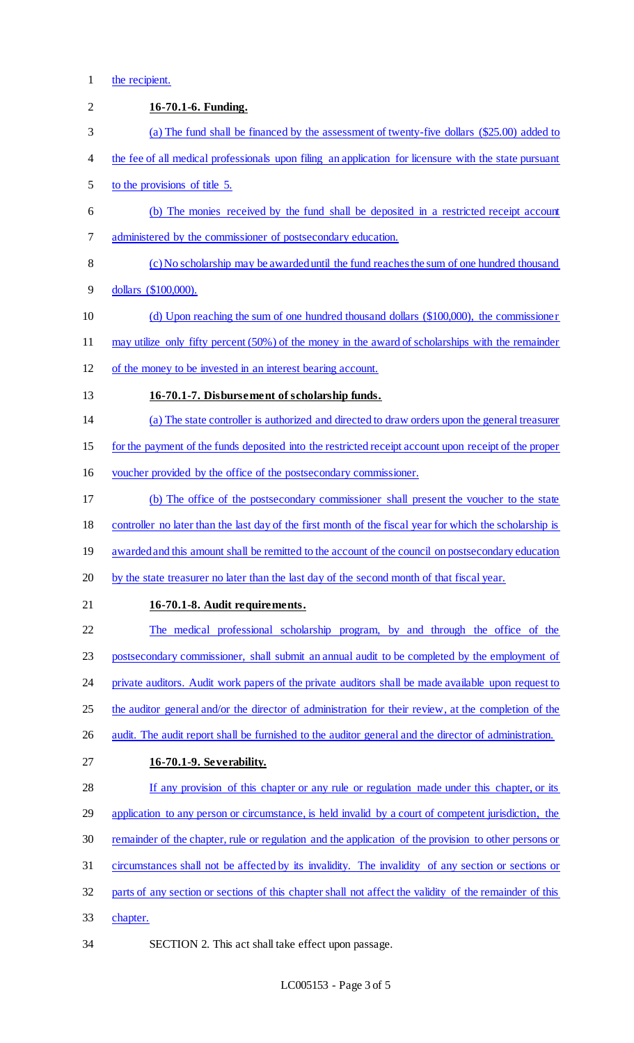#### the recipient.

- **16-70.1-6. Funding.** (a) The fund shall be financed by the assessment of twenty-five dollars (\$25.00) added to the fee of all medical professionals upon filing an application for licensure with the state pursuant to the provisions of title 5. (b) The monies received by the fund shall be deposited in a restricted receipt account administered by the commissioner of postsecondary education. (c) No scholarship may be awarded until the fund reaches the sum of one hundred thousand dollars (\$100,000). (d) Upon reaching the sum of one hundred thousand dollars (\$100,000), the commissioner may utilize only fifty percent (50%) of the money in the award of scholarships with the remainder of the money to be invested in an interest bearing account. **16-70.1-7. Disbursement of scholarship funds.** (a) The state controller is authorized and directed to draw orders upon the general treasurer for the payment of the funds deposited into the restricted receipt account upon receipt of the proper voucher provided by the office of the postsecondary commissioner. (b) The office of the postsecondary commissioner shall present the voucher to the state controller no later than the last day of the first month of the fiscal year for which the scholarship is 19 awarded and this amount shall be remitted to the account of the council on postsecondary education by the state treasurer no later than the last day of the second month of that fiscal year. **16-70.1-8. Audit requirements.** The medical professional scholarship program, by and through the office of the postsecondary commissioner, shall submit an annual audit to be completed by the employment of private auditors. Audit work papers of the private auditors shall be made available upon request to 25 the auditor general and/or the director of administration for their review, at the completion of the 26 audit. The audit report shall be furnished to the auditor general and the director of administration. **16-70.1-9. Severability.** If any provision of this chapter or any rule or regulation made under this chapter, or its application to any person or circumstance, is held invalid by a court of competent jurisdiction, the remainder of the chapter, rule or regulation and the application of the provision to other persons or circumstances shall not be affected by its invalidity. The invalidity of any section or sections or parts of any section or sections of this chapter shall not affect the validity of the remainder of this chapter.
- SECTION 2. This act shall take effect upon passage.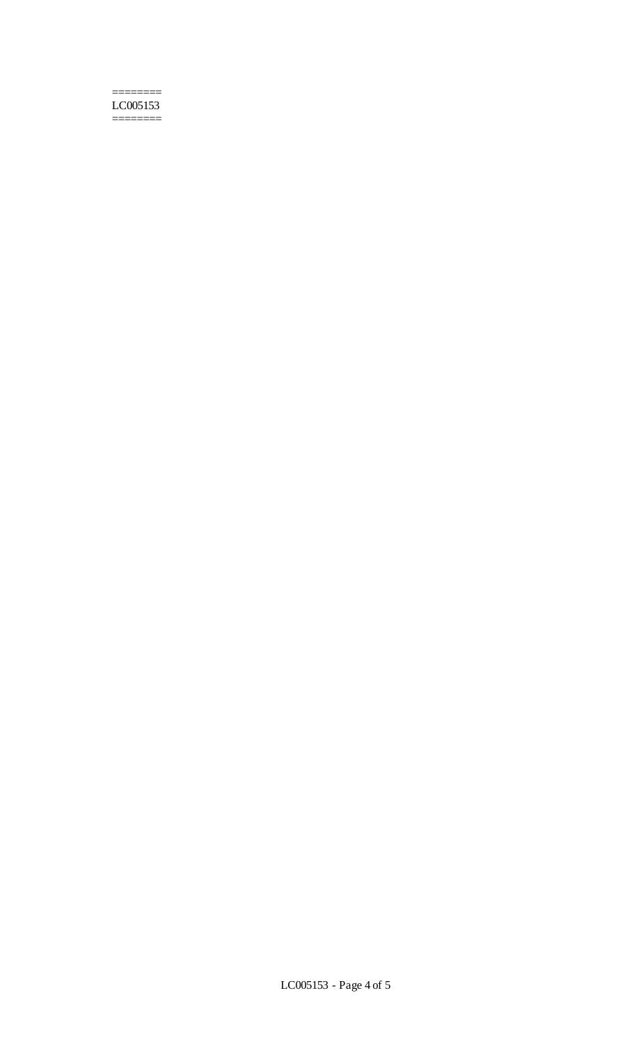#### ======== LC005153

========